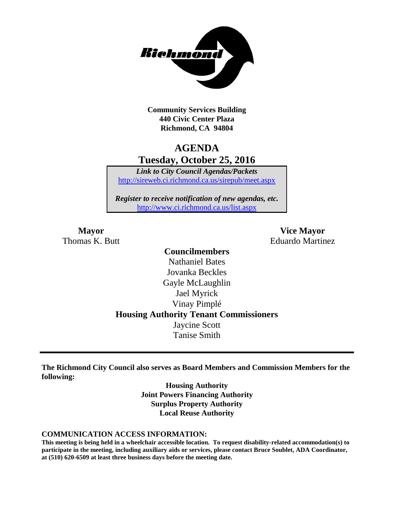

**Community Services Building 440 Civic Center Plaza Richmond, CA 94804**

## **AGENDA Tuesday, October 25, 2016**

*Link to City Council Agendas/Packets* <http://sireweb.ci.richmond.ca.us/sirepub/meet.aspx>

*Register to receive notification of new agendas, etc.* <http://www.ci.richmond.ca.us/list.aspx>

**Mayor Vice Mayor** Thomas K. Butt **Eduardo Martinez** 

## **Councilmembers** Nathaniel Bates Jovanka Beckles Gayle McLaughlin Jael Myrick Vinay Pimplé **Housing Authority Tenant Commissioners** Jaycine Scott Tanise Smith

**The Richmond City Council also serves as Board Members and Commission Members for the following:**

> **Housing Authority Joint Powers Financing Authority Surplus Property Authority Local Reuse Authority**

#### **COMMUNICATION ACCESS INFORMATION:**

**This meeting is being held in a wheelchair accessible location. To request disability-related accommodation(s) to participate in the meeting, including auxiliary aids or services, please contact Bruce Soublet, ADA Coordinator, at (510) 620-6509 at least three business days before the meeting date.**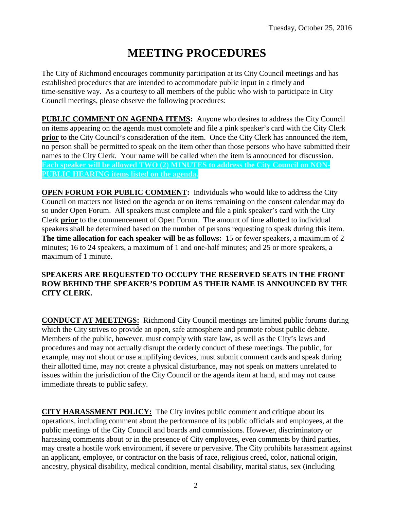# **MEETING PROCEDURES**

The City of Richmond encourages community participation at its City Council meetings and has established procedures that are intended to accommodate public input in a timely and time-sensitive way. As a courtesy to all members of the public who wish to participate in City Council meetings, please observe the following procedures:

**PUBLIC COMMENT ON AGENDA ITEMS:** Anyone who desires to address the City Council on items appearing on the agenda must complete and file a pink speaker's card with the City Clerk **prior** to the City Council's consideration of the item. Once the City Clerk has announced the item, no person shall be permitted to speak on the item other than those persons who have submitted their names to the City Clerk. Your name will be called when the item is announced for discussion. **Each speaker will be allowed TWO (2) MINUTES to address the City Council on NON-PUBLIC HEARING items listed on the agenda.**

**OPEN FORUM FOR PUBLIC COMMENT:** Individuals who would like to address the City Council on matters not listed on the agenda or on items remaining on the consent calendar may do so under Open Forum. All speakers must complete and file a pink speaker's card with the City Clerk **prior** to the commencement of Open Forum. The amount of time allotted to individual speakers shall be determined based on the number of persons requesting to speak during this item. **The time allocation for each speaker will be as follows:** 15 or fewer speakers, a maximum of 2 minutes; 16 to 24 speakers, a maximum of 1 and one-half minutes; and 25 or more speakers, a maximum of 1 minute.

### **SPEAKERS ARE REQUESTED TO OCCUPY THE RESERVED SEATS IN THE FRONT ROW BEHIND THE SPEAKER'S PODIUM AS THEIR NAME IS ANNOUNCED BY THE CITY CLERK.**

**CONDUCT AT MEETINGS:** Richmond City Council meetings are limited public forums during which the City strives to provide an open, safe atmosphere and promote robust public debate. Members of the public, however, must comply with state law, as well as the City's laws and procedures and may not actually disrupt the orderly conduct of these meetings. The public, for example, may not shout or use amplifying devices, must submit comment cards and speak during their allotted time, may not create a physical disturbance, may not speak on matters unrelated to issues within the jurisdiction of the City Council or the agenda item at hand, and may not cause immediate threats to public safety.

**CITY HARASSMENT POLICY:** The City invites public comment and critique about its operations, including comment about the performance of its public officials and employees, at the public meetings of the City Council and boards and commissions. However, discriminatory or harassing comments about or in the presence of City employees, even comments by third parties, may create a hostile work environment, if severe or pervasive. The City prohibits harassment against an applicant, employee, or contractor on the basis of race, religious creed, color, national origin, ancestry, physical disability, medical condition, mental disability, marital status, sex (including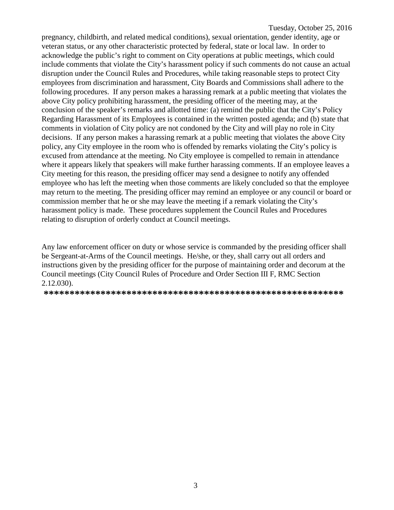pregnancy, childbirth, and related medical conditions), sexual orientation, gender identity, age or veteran status, or any other characteristic protected by federal, state or local law. In order to acknowledge the public's right to comment on City operations at public meetings, which could include comments that violate the City's harassment policy if such comments do not cause an actual disruption under the Council Rules and Procedures, while taking reasonable steps to protect City employees from discrimination and harassment, City Boards and Commissions shall adhere to the following procedures. If any person makes a harassing remark at a public meeting that violates the above City policy prohibiting harassment, the presiding officer of the meeting may, at the conclusion of the speaker's remarks and allotted time: (a) remind the public that the City's Policy Regarding Harassment of its Employees is contained in the written posted agenda; and (b) state that comments in violation of City policy are not condoned by the City and will play no role in City decisions. If any person makes a harassing remark at a public meeting that violates the above City policy, any City employee in the room who is offended by remarks violating the City's policy is excused from attendance at the meeting. No City employee is compelled to remain in attendance where it appears likely that speakers will make further harassing comments. If an employee leaves a City meeting for this reason, the presiding officer may send a designee to notify any offended employee who has left the meeting when those comments are likely concluded so that the employee may return to the meeting. The presiding officer may remind an employee or any council or board or commission member that he or she may leave the meeting if a remark violating the City's harassment policy is made. These procedures supplement the Council Rules and Procedures relating to disruption of orderly conduct at Council meetings.

Any law enforcement officer on duty or whose service is commanded by the presiding officer shall be Sergeant-at-Arms of the Council meetings. He/she, or they, shall carry out all orders and instructions given by the presiding officer for the purpose of maintaining order and decorum at the Council meetings (City Council Rules of Procedure and Order Section III F, RMC Section 2.12.030).

**\*\*\*\*\*\*\*\*\*\*\*\*\*\*\*\*\*\*\*\*\*\*\*\*\*\*\*\*\*\*\*\*\*\*\*\*\*\*\*\*\*\*\*\*\*\*\*\*\*\*\*\*\*\*\*\*\*\***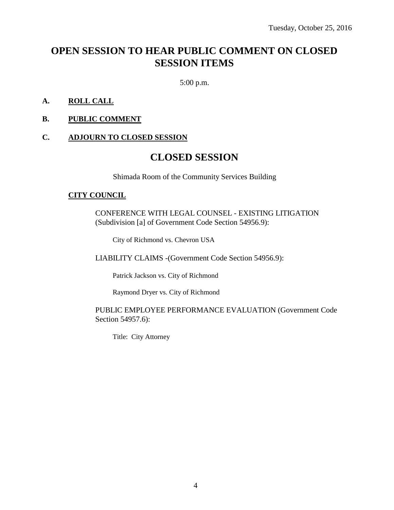## **OPEN SESSION TO HEAR PUBLIC COMMENT ON CLOSED SESSION ITEMS**

5:00 p.m.

### **A. ROLL CALL**

**B. PUBLIC COMMENT**

#### **C. ADJOURN TO CLOSED SESSION**

## **CLOSED SESSION**

Shimada Room of the Community Services Building

#### **CITY COUNCIL**

CONFERENCE WITH LEGAL COUNSEL - EXISTING LITIGATION (Subdivision [a] of Government Code Section 54956.9):

City of Richmond vs. Chevron USA

LIABILITY CLAIMS -(Government Code Section 54956.9):

Patrick Jackson vs. City of Richmond

Raymond Dryer vs. City of Richmond

#### PUBLIC EMPLOYEE PERFORMANCE EVALUATION (Government Code Section 54957.6):

Title: City Attorney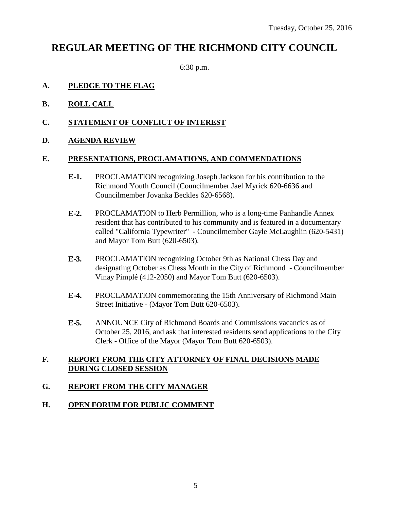## **REGULAR MEETING OF THE RICHMOND CITY COUNCIL**

6:30 p.m.

### **A. PLEDGE TO THE FLAG**

- **B. ROLL CALL**
- **C. STATEMENT OF CONFLICT OF INTEREST**
- **D. AGENDA REVIEW**

#### **E. PRESENTATIONS, PROCLAMATIONS, AND COMMENDATIONS**

- **E-1.** PROCLAMATION recognizing Joseph Jackson for his contribution to the Richmond Youth Council (Councilmember Jael Myrick 620-6636 and Councilmember Jovanka Beckles 620-6568).
- **E-2.** PROCLAMATION to Herb Permillion, who is a long-time Panhandle Annex resident that has contributed to his community and is featured in a documentary called "California Typewriter" - Councilmember Gayle McLaughlin (620-5431) and Mayor Tom Butt (620-6503).
- **E-3.** PROCLAMATION recognizing October 9th as National Chess Day and designating October as Chess Month in the City of Richmond - Councilmember Vinay Pimplé (412-2050) and Mayor Tom Butt (620-6503).
- **E-4.** PROCLAMATION commemorating the 15th Anniversary of Richmond Main Street Initiative - (Mayor Tom Butt 620-6503).
- **E-5.** ANNOUNCE City of Richmond Boards and Commissions vacancies as of October 25, 2016, and ask that interested residents send applications to the City Clerk - Office of the Mayor (Mayor Tom Butt 620-6503).

### **F. REPORT FROM THE CITY ATTORNEY OF FINAL DECISIONS MADE DURING CLOSED SESSION**

## **G. REPORT FROM THE CITY MANAGER**

### **H. OPEN FORUM FOR PUBLIC COMMENT**